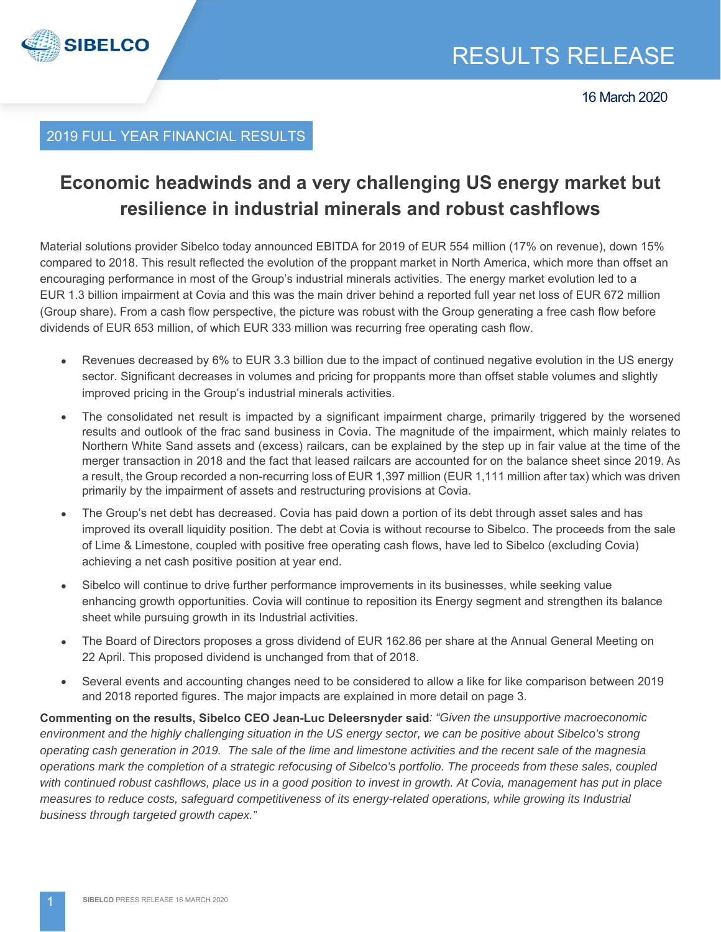

# 2019 FULL YEAR FINANCIAL RESULTS

# **Economic headwinds and a very challenging US energy market but resilience in industrial minerals and robust cashflows**

Material solutions provider Sibelco today announced EBITDA for 2019 of EUR 554 million (17% on revenue), down 15% compared to 2018. This result reflected the evolution of the proppant market in North America, which more than offset an encouraging performance in most of the Group's industrial minerals activities. The energy market evolution led to a EUR 1.3 billion impairment at Covia and this was the main driver behind a reported full year net loss of EUR 672 million (Group share). From a cash flow perspective, the picture was robust with the Group generating a free cash flow before dividends of EUR 653 million, of which EUR 333 million was recurring free operating cash flow.

- Revenues decreased by 6% to EUR 3.3 billion due to the impact of continued negative evolution in the US energy sector. Significant decreases in volumes and pricing for proppants more than offset stable volumes and slightly improved pricing in the Group's industrial minerals activities.
- The consolidated net result is impacted by a significant impairment charge, primarily triggered by the worsened results and outlook of the frac sand business in Covia. The magnitude of the impairment, which mainly relates to Northern White Sand assets and (excess) railcars, can be explained by the step up in fair value at the time of the merger transaction in 2018 and the fact that leased railcars are accounted for on the balance sheet since 2019. As a result, the Group recorded a non-recurring loss of EUR 1,397 million (EUR 1,111 million after tax) which was driven primarily by the impairment of assets and restructuring provisions at Covia.
- The Group's net debt has decreased. Covia has paid down a portion of its debt through asset sales and has improved its overall liquidity position. The debt at Covia is without recourse to Sibelco. The proceeds from the sale of Lime & Limestone, coupled with positive free operating cash flows, have led to Sibelco (excluding Covia) achieving a net cash positive position at year end.
- Sibelco will continue to drive further performance improvements in its businesses, while seeking value enhancing growth opportunities. Covia will continue to reposition its Energy segment and strengthen its balance sheet while pursuing growth in its Industrial activities.
- The Board of Directors proposes a gross dividend of EUR 162.86 per share at the Annual General Meeting on 22 April. This proposed dividend is unchanged from that of 2018.
- Several events and accounting changes need to be considered to allow a like for like comparison between 2019 and 2018 reported figures. The major impacts are explained in more detail on page 3.

**Commenting on the results, Sibelco CEO Jean-Luc Deleersnyder said***: "Given the unsupportive macroeconomic*  environment and the highly challenging situation in the US energy sector, we can be positive about Sibelco's strong *operating cash generation in 2019. The sale of the lime and limestone activities and the recent sale of the magnesia operations mark the completion of a strategic refocusing of Sibelco's portfolio. The proceeds from these sales, coupled with continued robust cashflows, place us in a good position to invest in growth. At Covia, management has put in place*  measures to reduce costs, safeguard competitiveness of its energy-related operations, while growing its Industrial *business through targeted growth capex."*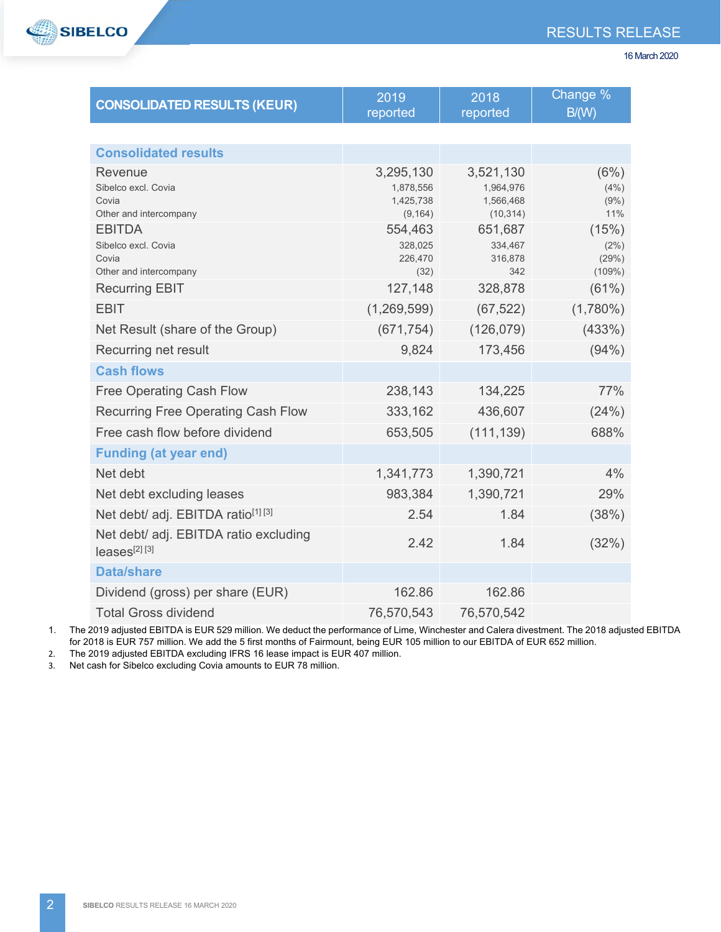

| <b>CONSOLIDATED RESULTS (KEUR)</b>                                      | 2019<br>reported                                | 2018<br>reported                                 | Change %<br>B/(W)                |
|-------------------------------------------------------------------------|-------------------------------------------------|--------------------------------------------------|----------------------------------|
|                                                                         |                                                 |                                                  |                                  |
| <b>Consolidated results</b>                                             |                                                 |                                                  |                                  |
| Revenue<br>Sibelco excl. Covia<br>Covia<br>Other and intercompany       | 3,295,130<br>1,878,556<br>1,425,738<br>(9, 164) | 3,521,130<br>1,964,976<br>1,566,468<br>(10, 314) | (6%)<br>(4%)<br>(9%)<br>11%      |
| <b>EBITDA</b><br>Sibelco excl. Covia<br>Covia<br>Other and intercompany | 554,463<br>328,025<br>226,470<br>(32)           | 651,687<br>334,467<br>316,878<br>342             | (15%)<br>(2%)<br>(29%)<br>(109%) |
| <b>Recurring EBIT</b>                                                   | 127,148                                         | 328,878                                          | (61%)                            |
| <b>EBIT</b>                                                             | (1,269,599)                                     | (67, 522)                                        | $(1,780\%)$                      |
| Net Result (share of the Group)                                         | (671, 754)                                      | (126, 079)                                       | (433%)                           |
| Recurring net result                                                    | 9,824                                           | 173,456                                          | (94% )                           |
| <b>Cash flows</b>                                                       |                                                 |                                                  |                                  |
| <b>Free Operating Cash Flow</b>                                         | 238,143                                         | 134,225                                          | 77%                              |
| <b>Recurring Free Operating Cash Flow</b>                               | 333,162                                         | 436,607                                          | (24%)                            |
| Free cash flow before dividend                                          | 653,505                                         | (111, 139)                                       | 688%                             |
| <b>Funding (at year end)</b>                                            |                                                 |                                                  |                                  |
| Net debt                                                                | 1,341,773                                       | 1,390,721                                        | 4%                               |
| Net debt excluding leases                                               | 983,384                                         | 1,390,721                                        | 29%                              |
| Net debt/ adj. EBITDA ratio <sup>[1] [3]</sup>                          | 2.54                                            | 1.84                                             | (38%)                            |
| Net debt/ adj. EBITDA ratio excluding<br>leases <sup>[2] [3]</sup>      | 2.42                                            | 1.84                                             | (32%)                            |
| <b>Data/share</b>                                                       |                                                 |                                                  |                                  |
| Dividend (gross) per share (EUR)                                        | 162.86                                          | 162.86                                           |                                  |
| <b>Total Gross dividend</b>                                             | 76,570,543                                      | 76,570,542                                       |                                  |

1. The 2019 adjusted EBITDA is EUR 529 million. We deduct the performance of Lime, Winchester and Calera divestment. The 2018 adjusted EBITDA for 2018 is EUR 757 million. We add the 5 first months of Fairmount, being EUR 105 million to our EBITDA of EUR 652 million.

2. The 2019 adjusted EBITDA excluding IFRS 16 lease impact is EUR 407 million.

3. Net cash for Sibelco excluding Covia amounts to EUR 78 million.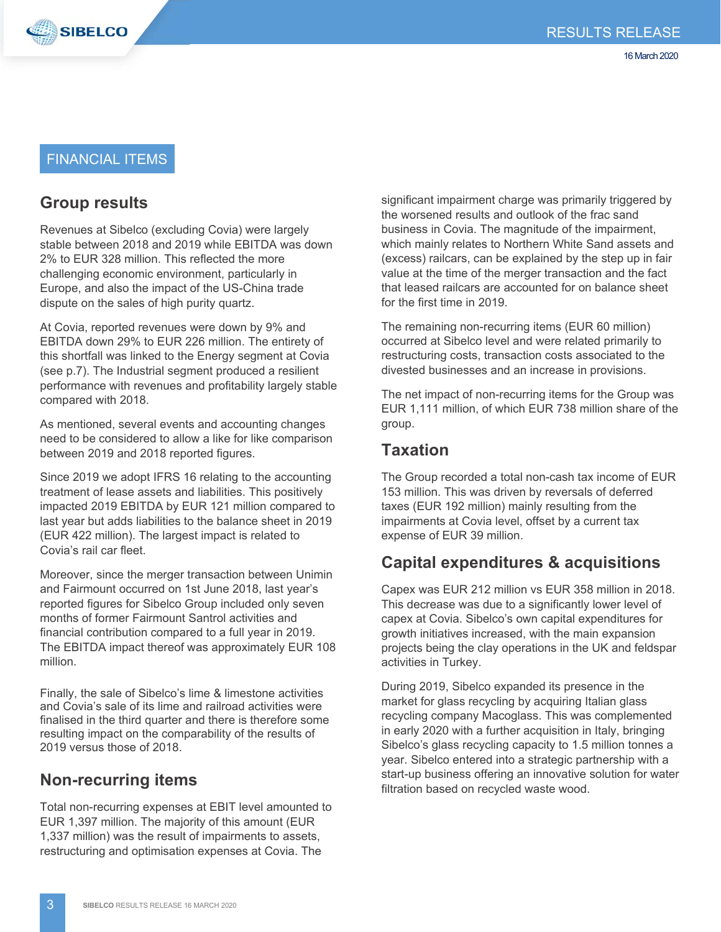

#### FINANCIAL ITEMS

# **Group results**

Revenues at Sibelco (excluding Covia) were largely stable between 2018 and 2019 while EBITDA was down 2% to EUR 328 million. This reflected the more challenging economic environment, particularly in Europe, and also the impact of the US-China trade dispute on the sales of high purity quartz.

At Covia, reported revenues were down by 9% and EBITDA down 29% to EUR 226 million. The entirety of this shortfall was linked to the Energy segment at Covia (see p.7). The Industrial segment produced a resilient performance with revenues and profitability largely stable compared with 2018.

As mentioned, several events and accounting changes need to be considered to allow a like for like comparison between 2019 and 2018 reported figures.

Since 2019 we adopt IFRS 16 relating to the accounting treatment of lease assets and liabilities. This positively impacted 2019 EBITDA by EUR 121 million compared to last year but adds liabilities to the balance sheet in 2019 (EUR 422 million). The largest impact is related to Covia's rail car fleet.

Moreover, since the merger transaction between Unimin and Fairmount occurred on 1st June 2018, last year's reported figures for Sibelco Group included only seven months of former Fairmount Santrol activities and financial contribution compared to a full year in 2019. The EBITDA impact thereof was approximately EUR 108 million.

Finally, the sale of Sibelco's lime & limestone activities and Covia's sale of its lime and railroad activities were finalised in the third quarter and there is therefore some resulting impact on the comparability of the results of 2019 versus those of 2018.

# **Non-recurring items**

Total non-recurring expenses at EBIT level amounted to EUR 1,397 million. The majority of this amount (EUR 1,337 million) was the result of impairments to assets, restructuring and optimisation expenses at Covia. The

significant impairment charge was primarily triggered by the worsened results and outlook of the frac sand business in Covia. The magnitude of the impairment, which mainly relates to Northern White Sand assets and (excess) railcars, can be explained by the step up in fair value at the time of the merger transaction and the fact that leased railcars are accounted for on balance sheet for the first time in 2019.

The remaining non-recurring items (EUR 60 million) occurred at Sibelco level and were related primarily to restructuring costs, transaction costs associated to the divested businesses and an increase in provisions.

The net impact of non-recurring items for the Group was EUR 1,111 million, of which EUR 738 million share of the group.

#### **Taxation**

The Group recorded a total non-cash tax income of EUR 153 million. This was driven by reversals of deferred taxes (EUR 192 million) mainly resulting from the impairments at Covia level, offset by a current tax expense of EUR 39 million.

## **Capital expenditures & acquisitions**

Capex was EUR 212 million vs EUR 358 million in 2018. This decrease was due to a significantly lower level of capex at Covia. Sibelco's own capital expenditures for growth initiatives increased, with the main expansion projects being the clay operations in the UK and feldspar activities in Turkey.

During 2019, Sibelco expanded its presence in the market for glass recycling by acquiring Italian glass recycling company Macoglass. This was complemented in early 2020 with a further acquisition in Italy, bringing Sibelco's glass recycling capacity to 1.5 million tonnes a year. Sibelco entered into a strategic partnership with a start-up business offering an innovative solution for water filtration based on recycled waste wood.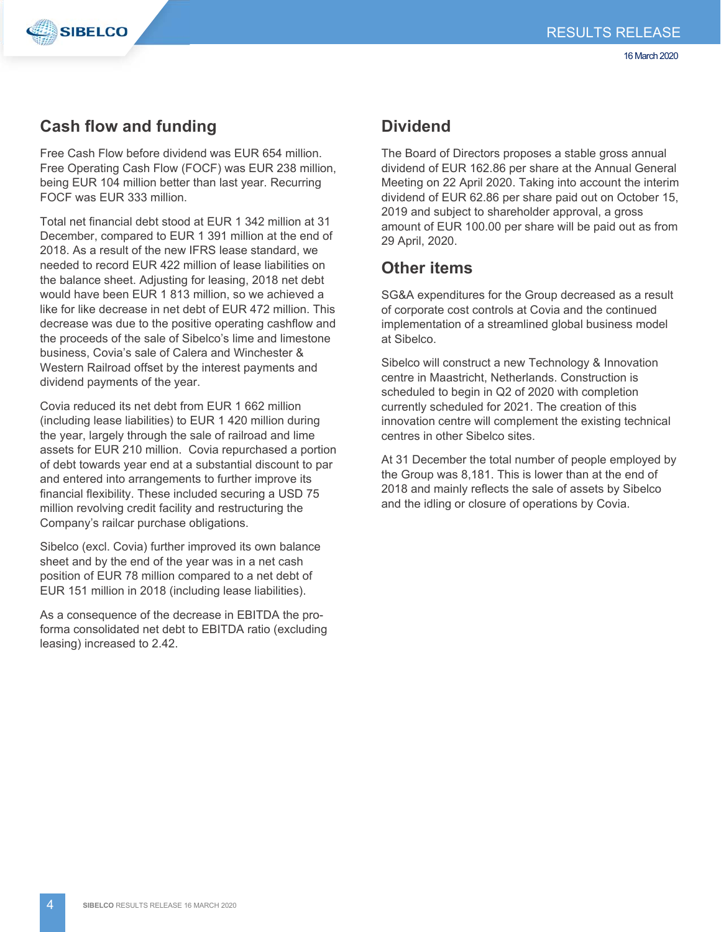

## **Cash flow and funding**

Free Cash Flow before dividend was EUR 654 million. Free Operating Cash Flow (FOCF) was EUR 238 million, being EUR 104 million better than last year. Recurring FOCF was EUR 333 million.

Total net financial debt stood at EUR 1 342 million at 31 December, compared to EUR 1 391 million at the end of 2018. As a result of the new IFRS lease standard, we needed to record EUR 422 million of lease liabilities on the balance sheet. Adjusting for leasing, 2018 net debt would have been EUR 1 813 million, so we achieved a like for like decrease in net debt of EUR 472 million. This decrease was due to the positive operating cashflow and the proceeds of the sale of Sibelco's lime and limestone business, Covia's sale of Calera and Winchester & Western Railroad offset by the interest payments and dividend payments of the year.

Covia reduced its net debt from EUR 1 662 million (including lease liabilities) to EUR 1 420 million during the year, largely through the sale of railroad and lime assets for EUR 210 million. Covia repurchased a portion of debt towards year end at a substantial discount to par and entered into arrangements to further improve its financial flexibility. These included securing a USD 75 million revolving credit facility and restructuring the Company's railcar purchase obligations.

Sibelco (excl. Covia) further improved its own balance sheet and by the end of the year was in a net cash position of EUR 78 million compared to a net debt of EUR 151 million in 2018 (including lease liabilities).

As a consequence of the decrease in EBITDA the proforma consolidated net debt to EBITDA ratio (excluding leasing) increased to 2.42.

## **Dividend**

The Board of Directors proposes a stable gross annual dividend of EUR 162.86 per share at the Annual General Meeting on 22 April 2020. Taking into account the interim dividend of EUR 62.86 per share paid out on October 15, 2019 and subject to shareholder approval, a gross amount of EUR 100.00 per share will be paid out as from 29 April, 2020.

## **Other items**

SG&A expenditures for the Group decreased as a result of corporate cost controls at Covia and the continued implementation of a streamlined global business model at Sibelco.

Sibelco will construct a new Technology & Innovation centre in Maastricht, Netherlands. Construction is scheduled to begin in Q2 of 2020 with completion currently scheduled for 2021. The creation of this innovation centre will complement the existing technical centres in other Sibelco sites.

At 31 December the total number of people employed by the Group was 8,181. This is lower than at the end of 2018 and mainly reflects the sale of assets by Sibelco and the idling or closure of operations by Covia.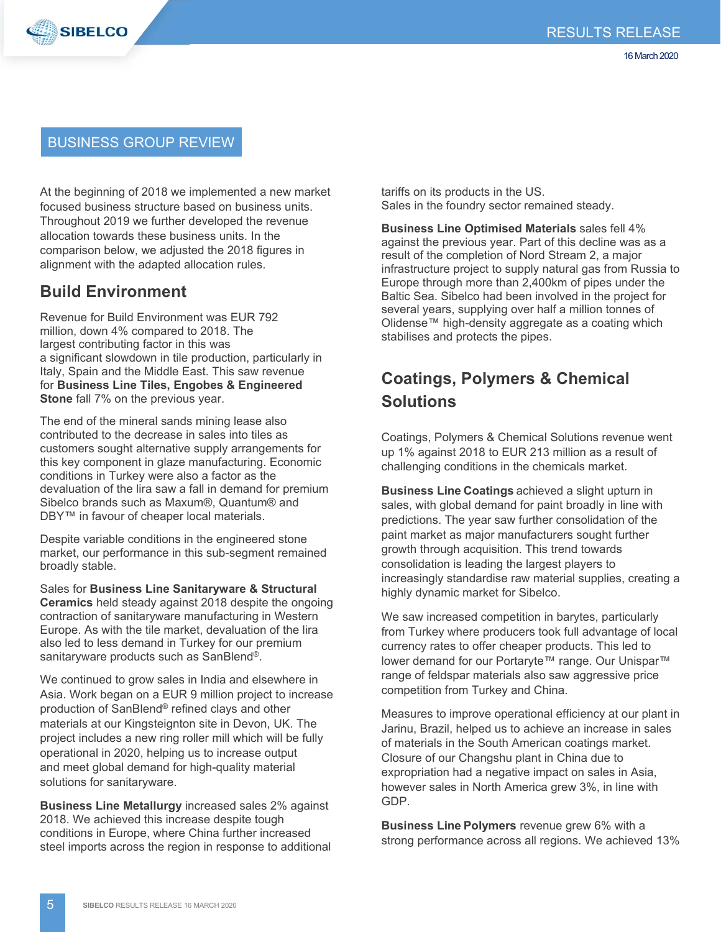

#### BUSINESS GROUP REVIEW

At the beginning of 2018 we implemented a new market focused business structure based on business units. Throughout 2019 we further developed the revenue allocation towards these business units. In the comparison below, we adjusted the 2018 figures in alignment with the adapted allocation rules.

#### **Build Environment**

Revenue for Build Environment was EUR 792 million, down 4% compared to 2018. The largest contributing factor in this was a significant slowdown in tile production, particularly in Italy, Spain and the Middle East. This saw revenue for **Business Line Tiles, Engobes & Engineered Stone** fall 7% on the previous year.

The end of the mineral sands mining lease also contributed to the decrease in sales into tiles as customers sought alternative supply arrangements for this key component in glaze manufacturing. Economic conditions in Turkey were also a factor as the devaluation of the lira saw a fall in demand for premium Sibelco brands such as Maxum®, Quantum® and DBY™ in favour of cheaper local materials.

Despite variable conditions in the engineered stone market, our performance in this sub-segment remained broadly stable.

Sales for **Business Line Sanitaryware & Structural Ceramics** held steady against 2018 despite the ongoing contraction of sanitaryware manufacturing in Western Europe. As with the tile market, devaluation of the lira also led to less demand in Turkey for our premium sanitaryware products such as SanBlend®.

We continued to grow sales in India and elsewhere in Asia. Work began on a EUR 9 million project to increase production of SanBlend® refined clays and other materials at our Kingsteignton site in Devon, UK. The project includes a new ring roller mill which will be fully operational in 2020, helping us to increase output and meet global demand for high-quality material solutions for sanitaryware.

**Business Line Metallurgy** increased sales 2% against 2018. We achieved this increase despite tough conditions in Europe, where China further increased steel imports across the region in response to additional tariffs on its products in the US. Sales in the foundry sector remained steady.

**Business Line Optimised Materials** sales fell 4% against the previous year. Part of this decline was as a result of the completion of Nord Stream 2, a major infrastructure project to supply natural gas from Russia to Europe through more than 2,400km of pipes under the Baltic Sea. Sibelco had been involved in the project for several years, supplying over half a million tonnes of Olidense™ high-density aggregate as a coating which stabilises and protects the pipes.

# **Coatings, Polymers & Chemical Solutions**

Coatings, Polymers & Chemical Solutions revenue went up 1% against 2018 to EUR 213 million as a result of challenging conditions in the chemicals market.

**Business Line Coatings** achieved a slight upturn in sales, with global demand for paint broadly in line with predictions. The year saw further consolidation of the paint market as major manufacturers sought further growth through acquisition. This trend towards consolidation is leading the largest players to increasingly standardise raw material supplies, creating a highly dynamic market for Sibelco.

We saw increased competition in barytes, particularly from Turkey where producers took full advantage of local currency rates to offer cheaper products. This led to lower demand for our Portaryte™ range. Our Unispar™ range of feldspar materials also saw aggressive price competition from Turkey and China.

Measures to improve operational efficiency at our plant in Jarinu, Brazil, helped us to achieve an increase in sales of materials in the South American coatings market. Closure of our Changshu plant in China due to expropriation had a negative impact on sales in Asia, however sales in North America grew 3%, in line with GDP.

**Business Line Polymers** revenue grew 6% with a strong performance across all regions. We achieved 13%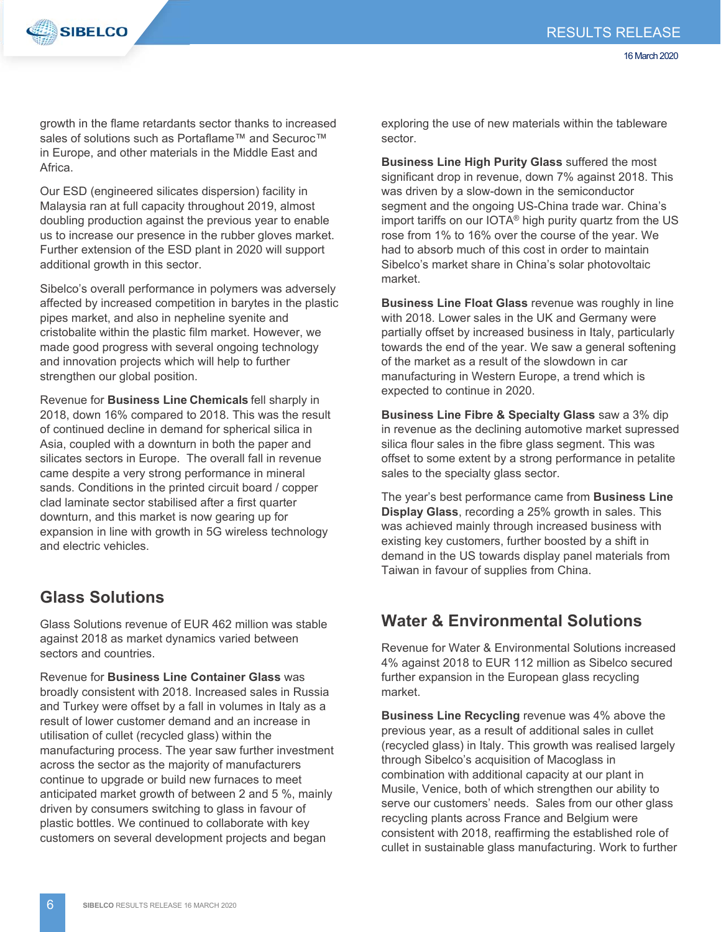

growth in the flame retardants sector thanks to increased sales of solutions such as Portaflame™ and Securoc™ in Europe, and other materials in the Middle East and Africa.

Our ESD (engineered silicates dispersion) facility in Malaysia ran at full capacity throughout 2019, almost doubling production against the previous year to enable us to increase our presence in the rubber gloves market. Further extension of the ESD plant in 2020 will support additional growth in this sector.

Sibelco's overall performance in polymers was adversely affected by increased competition in barytes in the plastic pipes market, and also in nepheline syenite and cristobalite within the plastic film market. However, we made good progress with several ongoing technology and innovation projects which will help to further strengthen our global position.

Revenue for **Business Line Chemicals** fell sharply in 2018, down 16% compared to 2018. This was the result of continued decline in demand for spherical silica in Asia, coupled with a downturn in both the paper and silicates sectors in Europe. The overall fall in revenue came despite a very strong performance in mineral sands. Conditions in the printed circuit board / copper clad laminate sector stabilised after a first quarter downturn, and this market is now gearing up for expansion in line with growth in 5G wireless technology and electric vehicles.

## **Glass Solutions**

Glass Solutions revenue of EUR 462 million was stable against 2018 as market dynamics varied between sectors and countries.

Revenue for **Business Line Container Glass** was broadly consistent with 2018. Increased sales in Russia and Turkey were offset by a fall in volumes in Italy as a result of lower customer demand and an increase in utilisation of cullet (recycled glass) within the manufacturing process. The year saw further investment across the sector as the majority of manufacturers continue to upgrade or build new furnaces to meet anticipated market growth of between 2 and 5 %, mainly driven by consumers switching to glass in favour of plastic bottles. We continued to collaborate with key customers on several development projects and began

exploring the use of new materials within the tableware sector.

**Business Line High Purity Glass** suffered the most significant drop in revenue, down 7% against 2018. This was driven by a slow-down in the semiconductor segment and the ongoing US-China trade war. China's import tariffs on our IOTA<sup>®</sup> high purity quartz from the US rose from 1% to 16% over the course of the year. We had to absorb much of this cost in order to maintain Sibelco's market share in China's solar photovoltaic market.

**Business Line Float Glass** revenue was roughly in line with 2018. Lower sales in the UK and Germany were partially offset by increased business in Italy, particularly towards the end of the year. We saw a general softening of the market as a result of the slowdown in car manufacturing in Western Europe, a trend which is expected to continue in 2020.

**Business Line Fibre & Specialty Glass** saw a 3% dip in revenue as the declining automotive market supressed silica flour sales in the fibre glass segment. This was offset to some extent by a strong performance in petalite sales to the specialty glass sector.

The year's best performance came from **Business Line Display Glass**, recording a 25% growth in sales. This was achieved mainly through increased business with existing key customers, further boosted by a shift in demand in the US towards display panel materials from Taiwan in favour of supplies from China.

## **Water & Environmental Solutions**

Revenue for Water & Environmental Solutions increased 4% against 2018 to EUR 112 million as Sibelco secured further expansion in the European glass recycling market.

**Business Line Recycling** revenue was 4% above the previous year, as a result of additional sales in cullet (recycled glass) in Italy. This growth was realised largely through Sibelco's acquisition of Macoglass in combination with additional capacity at our plant in Musile, Venice, both of which strengthen our ability to serve our customers' needs. Sales from our other glass recycling plants across France and Belgium were consistent with 2018, reaffirming the established role of cullet in sustainable glass manufacturing. Work to further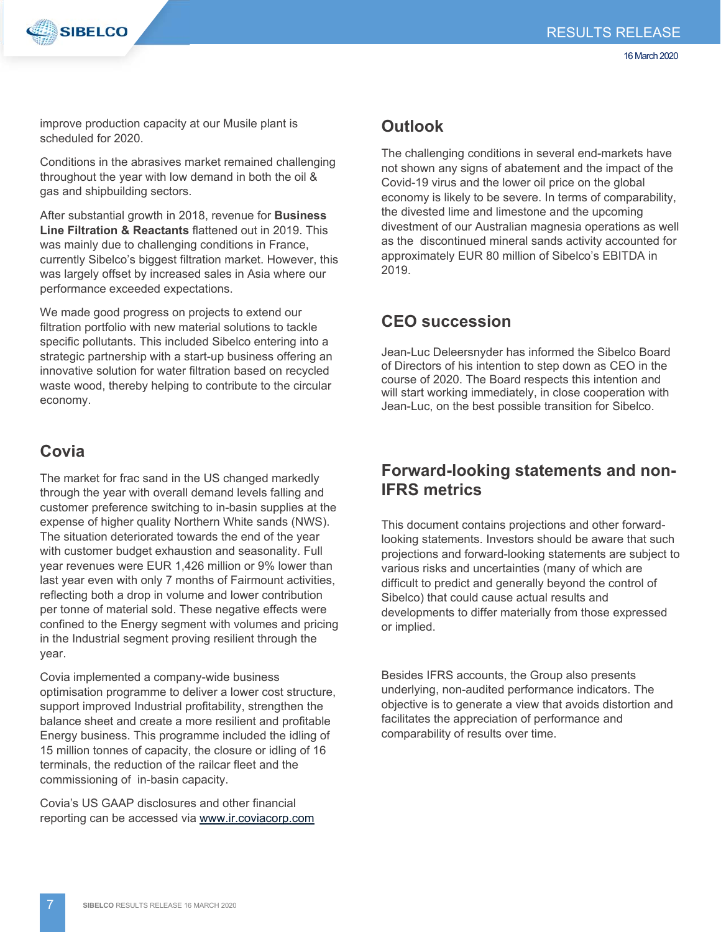



improve production capacity at our Musile plant is scheduled for 2020.

Conditions in the abrasives market remained challenging throughout the year with low demand in both the oil & gas and shipbuilding sectors.

After substantial growth in 2018, revenue for **Business Line Filtration & Reactants** flattened out in 2019. This was mainly due to challenging conditions in France, currently Sibelco's biggest filtration market. However, this was largely offset by increased sales in Asia where our performance exceeded expectations.

We made good progress on projects to extend our filtration portfolio with new material solutions to tackle specific pollutants. This included Sibelco entering into a strategic partnership with a start-up business offering an innovative solution for water filtration based on recycled waste wood, thereby helping to contribute to the circular economy.  

# **Covia**

The market for frac sand in the US changed markedly through the year with overall demand levels falling and customer preference switching to in-basin supplies at the expense of higher quality Northern White sands (NWS). The situation deteriorated towards the end of the year with customer budget exhaustion and seasonality. Full year revenues were EUR 1,426 million or 9% lower than last year even with only 7 months of Fairmount activities, reflecting both a drop in volume and lower contribution per tonne of material sold. These negative effects were confined to the Energy segment with volumes and pricing in the Industrial segment proving resilient through the year.

Covia implemented a company-wide business optimisation programme to deliver a lower cost structure, support improved Industrial profitability, strengthen the balance sheet and create a more resilient and profitable Energy business. This programme included the idling of 15 million tonnes of capacity, the closure or idling of 16 terminals, the reduction of the railcar fleet and the commissioning of in-basin capacity.

Covia's US GAAP disclosures and other financial reporting can be accessed via www.ir.coviacorp.com

# **Outlook**

The challenging conditions in several end-markets have not shown any signs of abatement and the impact of the Covid-19 virus and the lower oil price on the global economy is likely to be severe. In terms of comparability, the divested lime and limestone and the upcoming divestment of our Australian magnesia operations as well as the discontinued mineral sands activity accounted for approximately EUR 80 million of Sibelco's EBITDA in 2019.

# **CEO succession**

Jean-Luc Deleersnyder has informed the Sibelco Board of Directors of his intention to step down as CEO in the course of 2020. The Board respects this intention and will start working immediately, in close cooperation with Jean-Luc, on the best possible transition for Sibelco.

## **Forward-looking statements and non-IFRS metrics**

This document contains projections and other forwardlooking statements. Investors should be aware that such projections and forward-looking statements are subject to various risks and uncertainties (many of which are difficult to predict and generally beyond the control of Sibelco) that could cause actual results and developments to differ materially from those expressed or implied.

Besides IFRS accounts, the Group also presents underlying, non-audited performance indicators. The objective is to generate a view that avoids distortion and facilitates the appreciation of performance and comparability of results over time.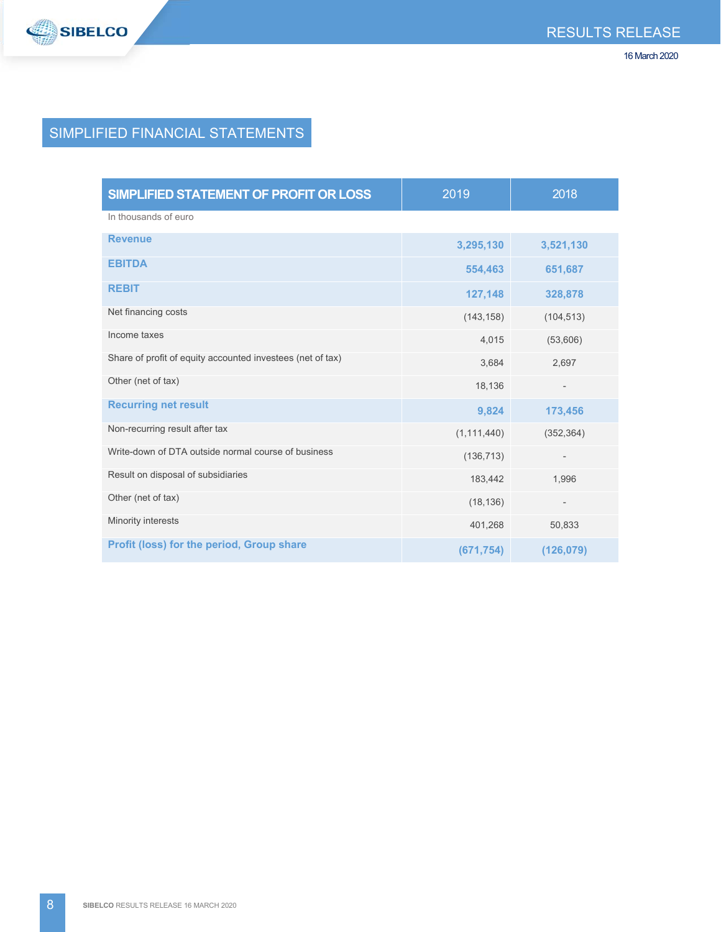

# SIMPLIFIED FINANCIAL STATEMENTS

| SIMPLIFIED STATEMENT OF PROFIT OR LOSS                     | 2019          | 2018                     |
|------------------------------------------------------------|---------------|--------------------------|
| In thousands of euro                                       |               |                          |
| <b>Revenue</b>                                             | 3,295,130     | 3,521,130                |
| <b>EBITDA</b>                                              | 554,463       | 651,687                  |
| <b>REBIT</b>                                               | 127,148       | 328,878                  |
| Net financing costs                                        | (143, 158)    | (104, 513)               |
| Income taxes                                               | 4,015         | (53,606)                 |
| Share of profit of equity accounted investees (net of tax) | 3,684         | 2,697                    |
| Other (net of tax)                                         | 18,136        | $\overline{\phantom{m}}$ |
| <b>Recurring net result</b>                                | 9,824         | 173,456                  |
| Non-recurring result after tax                             | (1, 111, 440) | (352, 364)               |
| Write-down of DTA outside normal course of business        | (136, 713)    | $\qquad \qquad -$        |
| Result on disposal of subsidiaries                         | 183,442       | 1,996                    |
| Other (net of tax)                                         | (18, 136)     | $\overline{\phantom{a}}$ |
| Minority interests                                         | 401,268       | 50,833                   |
| Profit (loss) for the period, Group share                  | (671, 754)    | (126,079)                |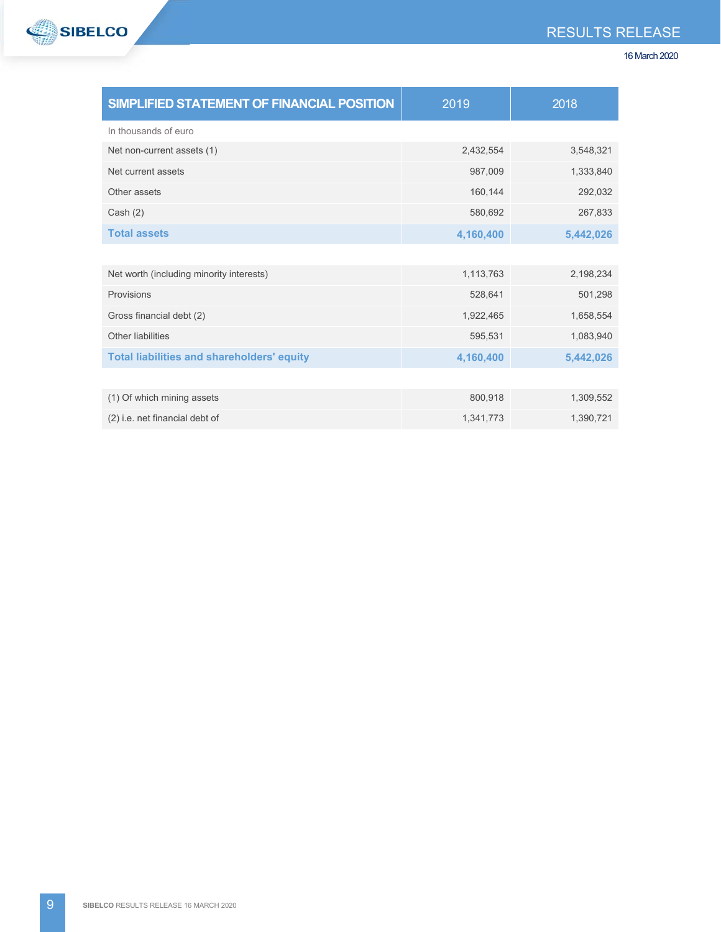



| SIMPLIFIED STATEMENT OF FINANCIAL POSITION        | 2019      | 2018      |
|---------------------------------------------------|-----------|-----------|
| In thousands of euro                              |           |           |
| Net non-current assets (1)                        | 2,432,554 | 3,548,321 |
| Net current assets                                | 987,009   | 1,333,840 |
| Other assets                                      | 160,144   | 292,032   |
| Cash (2)                                          | 580,692   | 267,833   |
| <b>Total assets</b>                               | 4,160,400 | 5,442,026 |
|                                                   |           |           |
| Net worth (including minority interests)          | 1,113,763 | 2,198,234 |
| Provisions                                        | 528,641   | 501,298   |
| Gross financial debt (2)                          | 1,922,465 | 1,658,554 |
| Other liabilities                                 | 595,531   | 1,083,940 |
| <b>Total liabilities and shareholders' equity</b> | 4,160,400 | 5,442,026 |
|                                                   |           |           |
| (1) Of which mining assets                        | 800,918   | 1,309,552 |
| (2) i.e. net financial debt of                    | 1,341,773 | 1,390,721 |